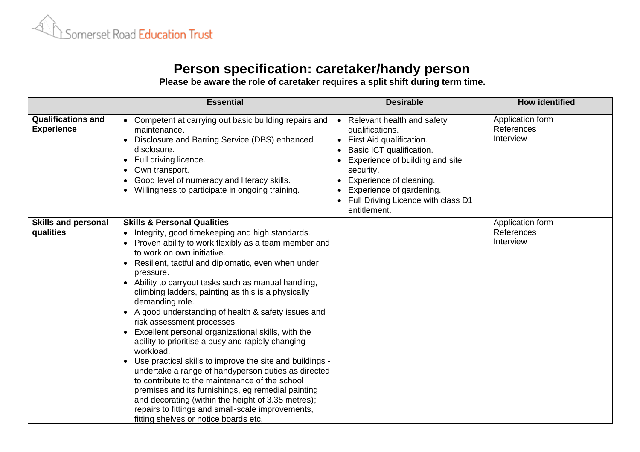

## **Person specification: caretaker/handy person**

**Please be aware the role of caretaker requires a split shift during term time.**

|                                                | <b>Essential</b>                                                                                                                                                                                                                                                                                                                                                                                                                                                                                                                                                                                                                                                                                                                                                                                                                                                                                                                                                                              | <b>Desirable</b>                                                                                                                                                                                                                                                         | <b>How identified</b>                       |
|------------------------------------------------|-----------------------------------------------------------------------------------------------------------------------------------------------------------------------------------------------------------------------------------------------------------------------------------------------------------------------------------------------------------------------------------------------------------------------------------------------------------------------------------------------------------------------------------------------------------------------------------------------------------------------------------------------------------------------------------------------------------------------------------------------------------------------------------------------------------------------------------------------------------------------------------------------------------------------------------------------------------------------------------------------|--------------------------------------------------------------------------------------------------------------------------------------------------------------------------------------------------------------------------------------------------------------------------|---------------------------------------------|
| <b>Qualifications and</b><br><b>Experience</b> | • Competent at carrying out basic building repairs and<br>maintenance.<br>Disclosure and Barring Service (DBS) enhanced<br>disclosure.<br>Full driving licence.<br>$\bullet$<br>Own transport.<br>$\bullet$<br>Good level of numeracy and literacy skills.<br>Willingness to participate in ongoing training.                                                                                                                                                                                                                                                                                                                                                                                                                                                                                                                                                                                                                                                                                 | • Relevant health and safety<br>qualifications.<br>• First Aid qualification.<br>Basic ICT qualification.<br>Experience of building and site<br>security.<br>Experience of cleaning.<br>Experience of gardening.<br>• Full Driving Licence with class D1<br>entitlement. | Application form<br>References<br>Interview |
| <b>Skills and personal</b><br>qualities        | <b>Skills &amp; Personal Qualities</b><br>Integrity, good timekeeping and high standards.<br>Proven ability to work flexibly as a team member and<br>to work on own initiative.<br>Resilient, tactful and diplomatic, even when under<br>pressure.<br>• Ability to carryout tasks such as manual handling,<br>climbing ladders, painting as this is a physically<br>demanding role.<br>• A good understanding of health & safety issues and<br>risk assessment processes.<br>Excellent personal organizational skills, with the<br>$\bullet$<br>ability to prioritise a busy and rapidly changing<br>workload.<br>Use practical skills to improve the site and buildings -<br>undertake a range of handyperson duties as directed<br>to contribute to the maintenance of the school<br>premises and its furnishings, eg remedial painting<br>and decorating (within the height of 3.35 metres);<br>repairs to fittings and small-scale improvements,<br>fitting shelves or notice boards etc. |                                                                                                                                                                                                                                                                          | Application form<br>References<br>Interview |